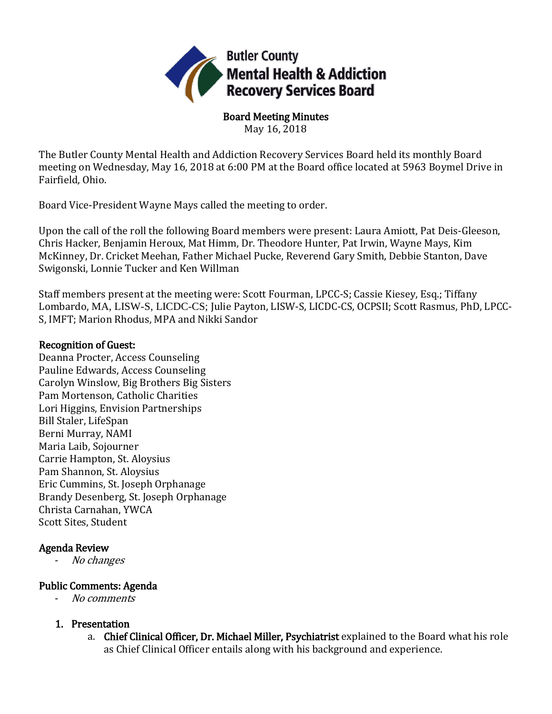

Board Meeting Minutes May 16, 2018

The Butler County Mental Health and Addiction Recovery Services Board held its monthly Board meeting on Wednesday, May 16, 2018 at 6:00 PM at the Board office located at 5963 Boymel Drive in Fairfield, Ohio.

Board Vice-President Wayne Mays called the meeting to order.

Upon the call of the roll the following Board members were present: Laura Amiott, Pat Deis-Gleeson, Chris Hacker, Benjamin Heroux, Mat Himm, Dr. Theodore Hunter, Pat Irwin, Wayne Mays, Kim McKinney, Dr. Cricket Meehan, Father Michael Pucke, Reverend Gary Smith, Debbie Stanton, Dave Swigonski, Lonnie Tucker and Ken Willman

Staff members present at the meeting were: Scott Fourman, LPCC-S; Cassie Kiesey, Esq.; Tiffany Lombardo, MA, LISW-S, LICDC-CS; Julie Payton, LISW-S, LICDC-CS, OCPSII; Scott Rasmus, PhD, LPCC-S, IMFT; Marion Rhodus, MPA and Nikki Sandor

### Recognition of Guest:

Deanna Procter, Access Counseling Pauline Edwards, Access Counseling Carolyn Winslow, Big Brothers Big Sisters Pam Mortenson, Catholic Charities Lori Higgins, Envision Partnerships Bill Staler, LifeSpan Berni Murray, NAMI Maria Laib, Sojourner Carrie Hampton, St. Aloysius Pam Shannon, St. Aloysius Eric Cummins, St. Joseph Orphanage Brandy Desenberg, St. Joseph Orphanage Christa Carnahan, YWCA Scott Sites, Student

# Agenda Review

- No changes

# Public Comments: Agenda

- No comments
- 1. Presentation
	- a. Chief Clinical Officer, Dr. Michael Miller, Psychiatrist explained to the Board what his role as Chief Clinical Officer entails along with his background and experience.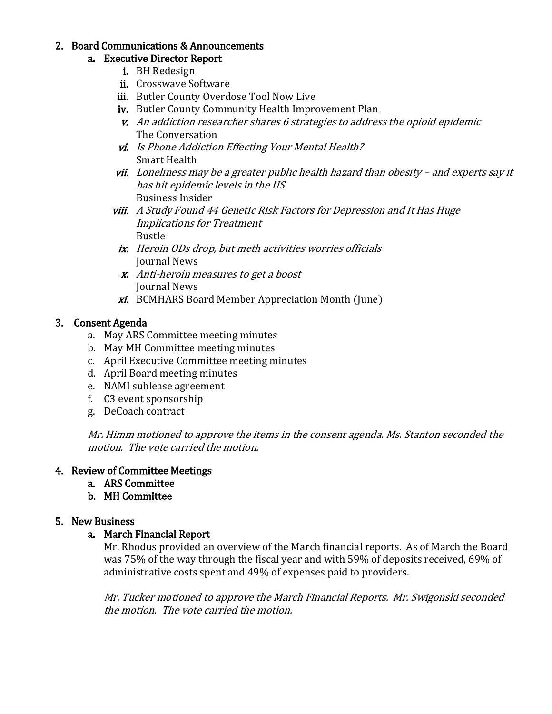#### 2. Board Communications & Announcements

### a. Executive Director Report

- i. BH Redesign
- ii. Crosswave Software
- iii. Butler County Overdose Tool Now Live
- iv. Butler County Community Health Improvement Plan
- v. An addiction researcher shares 6 strategies to address the opioid epidemic The Conversation
- vi. Is Phone Addiction Effecting Your Mental Health? Smart Health
- vii. Loneliness may be a greater public health hazard than obesity and experts say it has hit epidemic levels in the US Business Insider
- viii. A Study Found 44 Genetic Risk Factors for Depression and It Has Huge Implications for Treatment Bustle
- ix. Heroin ODs drop, but meth activities worries officials Journal News
- x. Anti-heroin measures to get a boost Journal News
- xi. BCMHARS Board Member Appreciation Month (June)

# 3. Consent Agenda

- a. May ARS Committee meeting minutes
- b. May MH Committee meeting minutes
- c. April Executive Committee meeting minutes
- d. April Board meeting minutes
- e. NAMI sublease agreement
- f. C3 event sponsorship
- g. DeCoach contract

Mr. Himm motioned to approve the items in the consent agenda. Ms. Stanton seconded the motion. The vote carried the motion.

# 4. Review of Committee Meetings

- a. ARS Committee
- b. MH Committee

# 5. New Business

# a. March Financial Report

Mr. Rhodus provided an overview of the March financial reports. As of March the Board was 75% of the way through the fiscal year and with 59% of deposits received, 69% of administrative costs spent and 49% of expenses paid to providers.

Mr. Tucker motioned to approve the March Financial Reports. Mr. Swigonski seconded the motion. The vote carried the motion.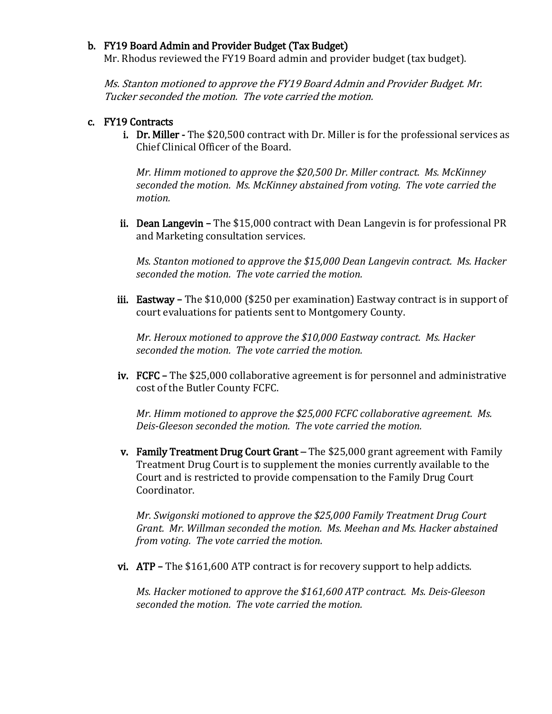#### b. FY19 Board Admin and Provider Budget (Tax Budget)

Mr. Rhodus reviewed the FY19 Board admin and provider budget (tax budget).

Ms. Stanton motioned to approve the FY19 Board Admin and Provider Budget. Mr. Tucker seconded the motion. The vote carried the motion.

#### c. FY19 Contracts

i. Dr. Miller - The \$20,500 contract with Dr. Miller is for the professional services as Chief Clinical Officer of the Board.

*Mr. Himm motioned to approve the \$20,500 Dr. Miller contract. Ms. McKinney seconded the motion. Ms. McKinney abstained from voting. The vote carried the motion.*

ii. Dean Langevin **–** The \$15,000 contract with Dean Langevin is for professional PR and Marketing consultation services.

*Ms. Stanton motioned to approve the \$15,000 Dean Langevin contract. Ms. Hacker seconded the motion. The vote carried the motion.*

iii. Eastway **–** The \$10,000 (\$250 per examination) Eastway contract is in support of court evaluations for patients sent to Montgomery County.

*Mr. Heroux motioned to approve the \$10,000 Eastway contract. Ms. Hacker seconded the motion. The vote carried the motion.*

iv. FCFC **–** The \$25,000 collaborative agreement is for personnel and administrative cost of the Butler County FCFC.

*Mr. Himm motioned to approve the \$25,000 FCFC collaborative agreement. Ms. Deis-Gleeson seconded the motion. The vote carried the motion.*

v. Family Treatment Drug Court Grant – The \$25,000 grant agreement with Family Treatment Drug Court is to supplement the monies currently available to the Court and is restricted to provide compensation to the Family Drug Court Coordinator.

*Mr. Swigonski motioned to approve the \$25,000 Family Treatment Drug Court Grant. Mr. Willman seconded the motion. Ms. Meehan and Ms. Hacker abstained from voting. The vote carried the motion.*

vi. ATP **–** The \$161,600 ATP contract is for recovery support to help addicts.

*Ms. Hacker motioned to approve the \$161,600 ATP contract. Ms. Deis-Gleeson seconded the motion. The vote carried the motion.*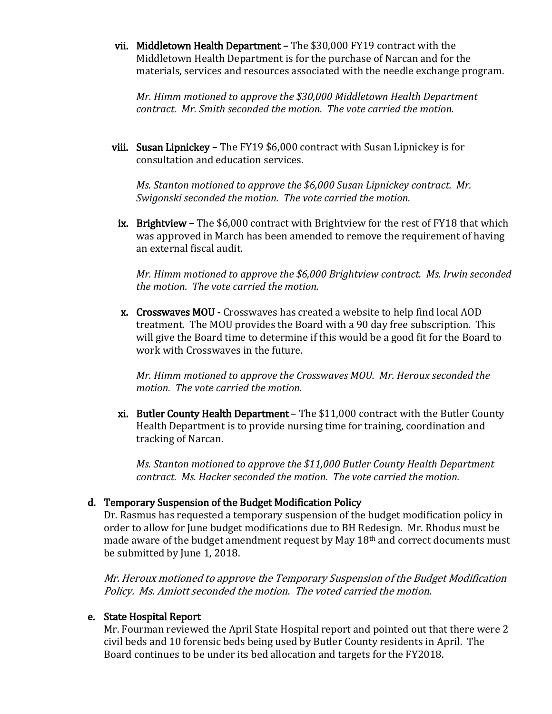vii. Middletown Health Department **–** The \$30,000 FY19 contract with the Middletown Health Department is for the purchase of Narcan and for the materials, services and resources associated with the needle exchange program.

*Mr. Himm motioned to approve the \$30,000 Middletown Health Department contract. Mr. Smith seconded the motion. The vote carried the motion.*

viii. Susan Lipnickey **–** The FY19 \$6,000 contract with Susan Lipnickey is for consultation and education services.

*Ms. Stanton motioned to approve the \$6,000 Susan Lipnickey contract. Mr. Swigonski seconded the motion. The vote carried the motion.*

ix. Brightview **–** The \$6,000 contract with Brightview for the rest of FY18 that which was approved in March has been amended to remove the requirement of having an external fiscal audit.

*Mr. Himm motioned to approve the \$6,000 Brightview contract. Ms. Irwin seconded the motion. The vote carried the motion.*

x. Crosswaves MOU **-** Crosswaves has created a website to help find local AOD treatment. The MOU provides the Board with a 90 day free subscription. This will give the Board time to determine if this would be a good fit for the Board to work with Crosswaves in the future.

*Mr. Himm motioned to approve the Crosswaves MOU. Mr. Heroux seconded the motion. The vote carried the motion.*

xi. Butler County Health Department – The \$11,000 contract with the Butler County Health Department is to provide nursing time for training, coordination and tracking of Narcan.

*Ms. Stanton motioned to approve the \$11,000 Butler County Health Department contract. Ms. Hacker seconded the motion. The vote carried the motion.*

#### d. Temporary Suspension of the Budget Modification Policy

Dr. Rasmus has requested a temporary suspension of the budget modification policy in order to allow for June budget modifications due to BH Redesign. Mr. Rhodus must be made aware of the budget amendment request by May 18th and correct documents must be submitted by June 1, 2018.

Mr. Heroux motioned to approve the Temporary Suspension of the Budget Modification Policy. Ms. Amiott seconded the motion. The voted carried the motion.

#### e. State Hospital Report

Mr. Fourman reviewed the April State Hospital report and pointed out that there were 2 civil beds and 10 forensic beds being used by Butler County residents in April. The Board continues to be under its bed allocation and targets for the FY2018.